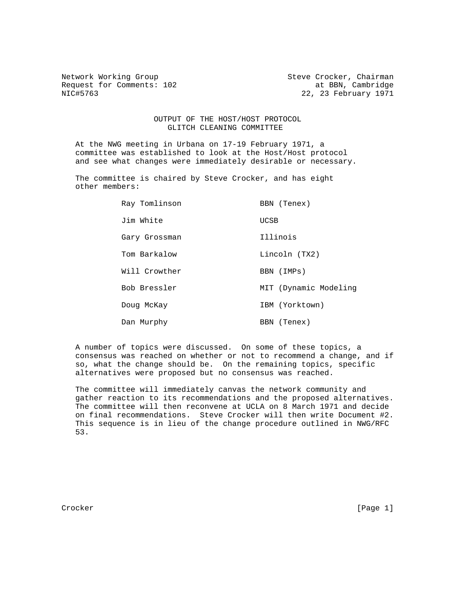Request for Comments: 102 at BBN, Cambridge 1971<br>NIC#5763 22, 23 February 1971

Network Working Group Steve Crocker, Chairman 22, 23 February 1971

## OUTPUT OF THE HOST/HOST PROTOCOL GLITCH CLEANING COMMITTEE

 At the NWG meeting in Urbana on 17-19 February 1971, a committee was established to look at the Host/Host protocol and see what changes were immediately desirable or necessary.

 The committee is chaired by Steve Crocker, and has eight other members:

| Ray Tomlinson | BBN (Tenex)           |
|---------------|-----------------------|
| Jim White     | UCSB                  |
| Gary Grossman | Illinois              |
| Tom Barkalow  | Lincoln (TX2)         |
| Will Crowther | BBN (IMPs)            |
| Bob Bressler  | MIT (Dynamic Modeling |
| Doug McKay    | IBM (Yorktown)        |
| Dan Murphy    | BBN (Tenex)           |

 A number of topics were discussed. On some of these topics, a consensus was reached on whether or not to recommend a change, and if so, what the change should be. On the remaining topics, specific alternatives were proposed but no consensus was reached.

 The committee will immediately canvas the network community and gather reaction to its recommendations and the proposed alternatives. The committee will then reconvene at UCLA on 8 March 1971 and decide on final recommendations. Steve Crocker will then write Document #2. This sequence is in lieu of the change procedure outlined in NWG/RFC 53.

Crocker [Page 1]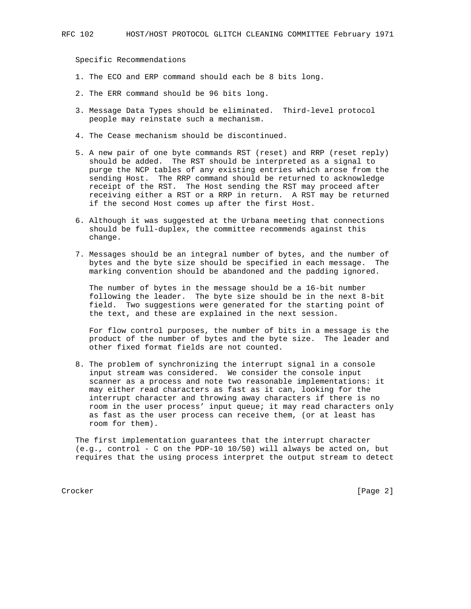Specific Recommendations

- 1. The ECO and ERP command should each be 8 bits long.
- 2. The ERR command should be 96 bits long.
- 3. Message Data Types should be eliminated. Third-level protocol people may reinstate such a mechanism.
- 4. The Cease mechanism should be discontinued.
- 5. A new pair of one byte commands RST (reset) and RRP (reset reply) should be added. The RST should be interpreted as a signal to purge the NCP tables of any existing entries which arose from the sending Host. The RRP command should be returned to acknowledge receipt of the RST. The Host sending the RST may proceed after receiving either a RST or a RRP in return. A RST may be returned if the second Host comes up after the first Host.
- 6. Although it was suggested at the Urbana meeting that connections should be full-duplex, the committee recommends against this change.
- 7. Messages should be an integral number of bytes, and the number of bytes and the byte size should be specified in each message. The marking convention should be abandoned and the padding ignored.

 The number of bytes in the message should be a 16-bit number following the leader. The byte size should be in the next 8-bit field. Two suggestions were generated for the starting point of the text, and these are explained in the next session.

 For flow control purposes, the number of bits in a message is the product of the number of bytes and the byte size. The leader and other fixed format fields are not counted.

 8. The problem of synchronizing the interrupt signal in a console input stream was considered. We consider the console input scanner as a process and note two reasonable implementations: it may either read characters as fast as it can, looking for the interrupt character and throwing away characters if there is no room in the user process' input queue; it may read characters only as fast as the user process can receive them, (or at least has room for them).

 The first implementation guarantees that the interrupt character (e.g., control - C on the PDP-10 10/50) will always be acted on, but requires that the using process interpret the output stream to detect

Crocker [Page 2]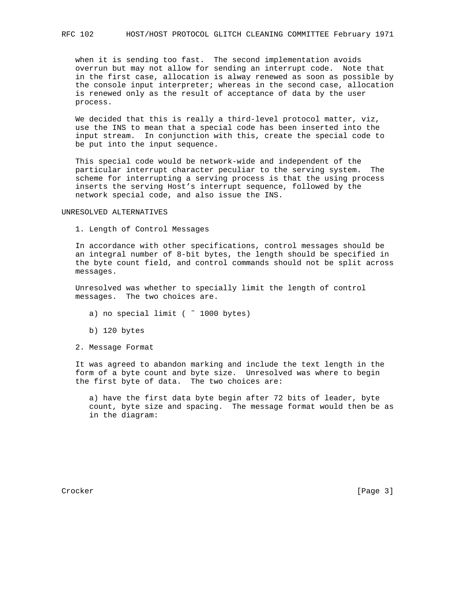when it is sending too fast. The second implementation avoids overrun but may not allow for sending an interrupt code. Note that in the first case, allocation is alway renewed as soon as possible by the console input interpreter; whereas in the second case, allocation is renewed only as the result of acceptance of data by the user process.

 We decided that this is really a third-level protocol matter, viz, use the INS to mean that a special code has been inserted into the input stream. In conjunction with this, create the special code to be put into the input sequence.

 This special code would be network-wide and independent of the particular interrupt character peculiar to the serving system. The scheme for interrupting a serving process is that the using process inserts the serving Host's interrupt sequence, followed by the network special code, and also issue the INS.

## UNRESOLVED ALTERNATIVES

1. Length of Control Messages

 In accordance with other specifications, control messages should be an integral number of 8-bit bytes, the length should be specified in the byte count field, and control commands should not be split across messages.

 Unresolved was whether to specially limit the length of control messages. The two choices are.

- a) no special limit ( ~ 1000 bytes)
- b) 120 bytes
- 2. Message Format

 It was agreed to abandon marking and include the text length in the form of a byte count and byte size. Unresolved was where to begin the first byte of data. The two choices are:

 a) have the first data byte begin after 72 bits of leader, byte count, byte size and spacing. The message format would then be as in the diagram:

Crocker [Page 3]